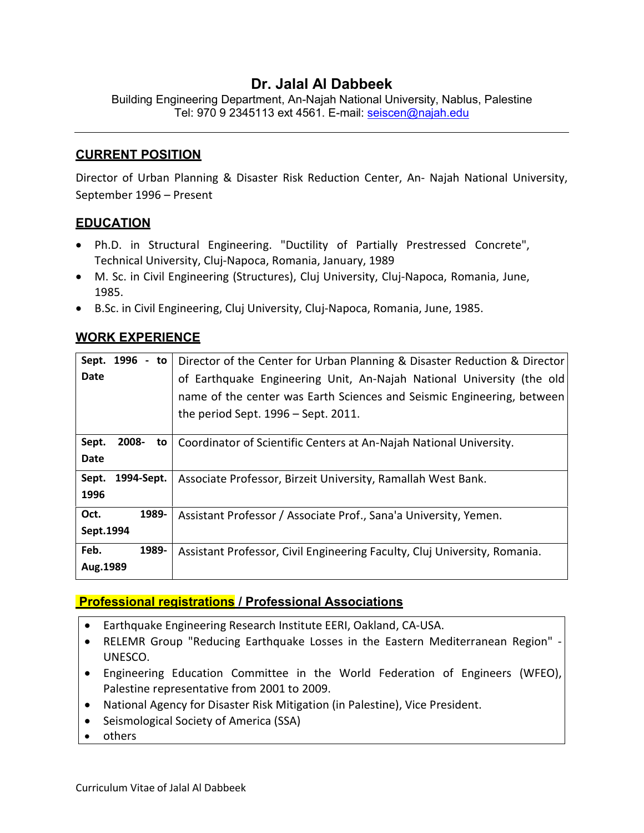### **Dr. Jalal Al Dabbeek**

Building Engineering Department, An-Najah National University, Nablus, Palestine Tel: 970 9 2345113 ext 4561. E-mail: seiscen@najah.edu

#### **CURRENT POSITION**

Director of Urban Planning & Disaster Risk Reduction Center, An- Najah National University, September 1996 – Present

### **EDUCATION**

- Ph.D. in Structural Engineering. "Ductility of Partially Prestressed Concrete", Technical University, Cluj-Napoca, Romania, January, 1989
- M. Sc. in Civil Engineering (Structures), Cluj University, Cluj-Napoca, Romania, June, 1985.
- B.Sc. in Civil Engineering, Cluj University, Cluj-Napoca, Romania, June, 1985.

### **WORK EXPERIENCE**

| Sept. 1996          |       | - to   Director of the Center for Urban Planning & Disaster Reduction & Director |
|---------------------|-------|----------------------------------------------------------------------------------|
| Date                |       | of Earthquake Engineering Unit, An-Najah National University (the old            |
|                     |       | name of the center was Earth Sciences and Seismic Engineering, between           |
|                     |       | the period Sept. $1996 -$ Sept. 2011.                                            |
| Sept.<br>2008-      | to    | Coordinator of Scientific Centers at An-Najah National University.               |
| Date                |       |                                                                                  |
| Sept.<br>1994-Sept. |       | Associate Professor, Birzeit University, Ramallah West Bank.                     |
| 1996                |       |                                                                                  |
| Oct.                | 1989- | Assistant Professor / Associate Prof., Sana'a University, Yemen.                 |
| Sept.1994           |       |                                                                                  |
| Feb.                | 1989- | Assistant Professor, Civil Engineering Faculty, Cluj University, Romania.        |
| Aug.1989            |       |                                                                                  |

#### **Professional registrations / Professional Associations**

- Earthquake Engineering Research Institute EERI, Oakland, CA-USA.
- RELEMR Group "Reducing Earthquake Losses in the Eastern Mediterranean Region" UNESCO.
- Engineering Education Committee in the World Federation of Engineers (WFEO), Palestine representative from 2001 to 2009.
- National Agency for Disaster Risk Mitigation (in Palestine), Vice President.
- Seismological Society of America (SSA)
- others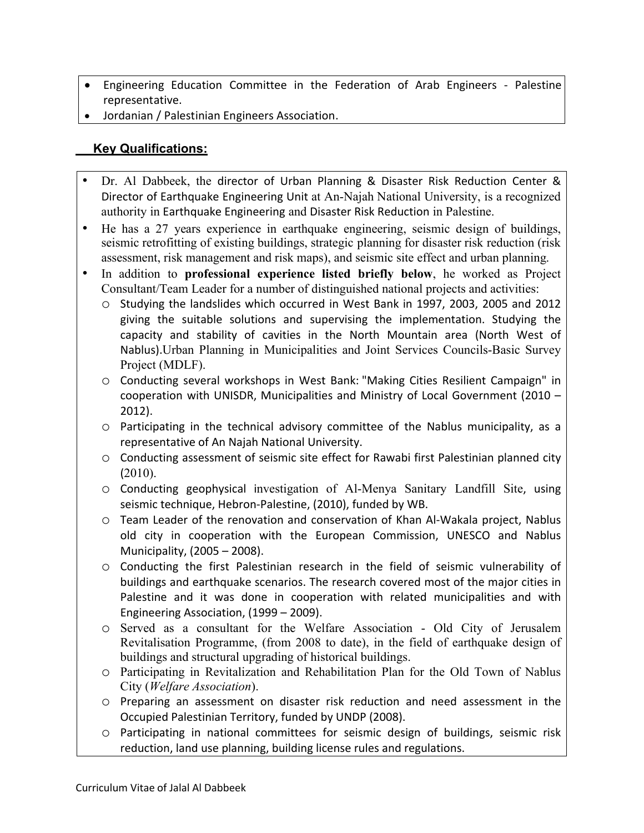- Engineering Education Committee in the Federation of Arab Engineers Palestine representative.
- Jordanian / Palestinian Engineers Association.

### **Key Qualifications:**

- Dr. Al Dabbeek, the director of Urban Planning & Disaster Risk Reduction Center & Director of Earthquake Engineering Unit at An-Najah National University, is a recognized authority in Earthquake Engineering and Disaster Risk Reduction in Palestine.
- He has a 27 years experience in earthquake engineering, seismic design of buildings, seismic retrofitting of existing buildings, strategic planning for disaster risk reduction (risk assessment, risk management and risk maps), and seismic site effect and urban planning.
- In addition to **professional experience listed briefly below**, he worked as Project Consultant/Team Leader for a number of distinguished national projects and activities:
	- o Studying the landslides which occurred in West Bank in 1997, 2003, 2005 and 2012 giving the suitable solutions and supervising the implementation. Studying the capacity and stability of cavities in the North Mountain area (North West of Nablus).Urban Planning in Municipalities and Joint Services Councils-Basic Survey Project (MDLF).
	- o Conducting several workshops in West Bank: "Making Cities Resilient Campaign" in cooperation with UNISDR, Municipalities and Ministry of Local Government (2010 – 2012).
	- o Participating in the technical advisory committee of the Nablus municipality, as a representative of An Najah National University.
	- o Conducting assessment of seismic site effect for Rawabi first Palestinian planned city (2010).
	- o Conducting geophysical investigation of Al-Menya Sanitary Landfill Site, using seismic technique, Hebron-Palestine, (2010), funded by WB.
	- o Team Leader of the renovation and conservation of Khan Al-Wakala project, Nablus old city in cooperation with the European Commission, UNESCO and Nablus Municipality, (2005 – 2008).
	- o Conducting the first Palestinian research in the field of seismic vulnerability of buildings and earthquake scenarios. The research covered most of the major cities in Palestine and it was done in cooperation with related municipalities and with Engineering Association, (1999 – 2009).
	- o Served as a consultant for the Welfare Association Old City of Jerusalem Revitalisation Programme, (from 2008 to date), in the field of earthquake design of buildings and structural upgrading of historical buildings.
	- o Participating in Revitalization and Rehabilitation Plan for the Old Town of Nablus City (*Welfare Association*).
	- o Preparing an assessment on disaster risk reduction and need assessment in the Occupied Palestinian Territory, funded by UNDP (2008).
	- o Participating in national committees for seismic design of buildings, seismic risk reduction, land use planning, building license rules and regulations.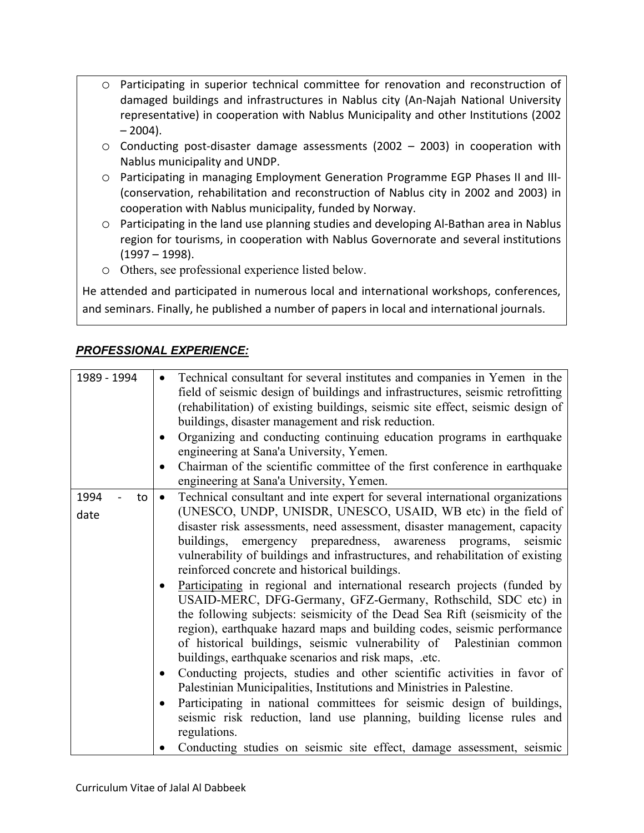- o Participating in superior technical committee for renovation and reconstruction of damaged buildings and infrastructures in Nablus city (An-Najah National University representative) in cooperation with Nablus Municipality and other Institutions (2002  $-2004$ ).
- $\circ$  Conducting post-disaster damage assessments (2002 2003) in cooperation with Nablus municipality and UNDP.
- o Participating in managing Employment Generation Programme EGP Phases II and III- (conservation, rehabilitation and reconstruction of Nablus city in 2002 and 2003) in cooperation with Nablus municipality, funded by Norway.
- o Participating in the land use planning studies and developing Al-Bathan area in Nablus region for tourisms, in cooperation with Nablus Governorate and several institutions (1997 – 1998).
- o Others, see professional experience listed below.

He attended and participated in numerous local and international workshops, conferences, and seminars. Finally, he published a number of papers in local and international journals.

# *PROFESSIONAL EXPERIENCE:*

| 1989 - 1994 | Technical consultant for several institutes and companies in Yemen in the<br>field of seismic design of buildings and infrastructures, seismic retrofitting<br>(rehabilitation) of existing buildings, seismic site effect, seismic design of<br>buildings, disaster management and risk reduction.<br>Organizing and conducting continuing education programs in earthquake<br>٠<br>engineering at Sana'a University, Yemen.<br>Chairman of the scientific committee of the first conference in earthquake<br>engineering at Sana'a University, Yemen.                                                                                                                                                                                                                                                                                                                                |
|-------------|----------------------------------------------------------------------------------------------------------------------------------------------------------------------------------------------------------------------------------------------------------------------------------------------------------------------------------------------------------------------------------------------------------------------------------------------------------------------------------------------------------------------------------------------------------------------------------------------------------------------------------------------------------------------------------------------------------------------------------------------------------------------------------------------------------------------------------------------------------------------------------------|
| 1994<br>to  | Technical consultant and inte expert for several international organizations<br>$\bullet$                                                                                                                                                                                                                                                                                                                                                                                                                                                                                                                                                                                                                                                                                                                                                                                              |
| date        | (UNESCO, UNDP, UNISDR, UNESCO, USAID, WB etc) in the field of<br>disaster risk assessments, need assessment, disaster management, capacity<br>buildings, emergency preparedness, awareness programs,<br>seismic<br>vulnerability of buildings and infrastructures, and rehabilitation of existing<br>reinforced concrete and historical buildings.<br>Participating in regional and international research projects (funded by<br>$\bullet$<br>USAID-MERC, DFG-Germany, GFZ-Germany, Rothschild, SDC etc) in<br>the following subjects: seismicity of the Dead Sea Rift (seismicity of the<br>region), earthquake hazard maps and building codes, seismic performance<br>of historical buildings, seismic vulnerability of Palestinian common<br>buildings, earthquake scenarios and risk maps, .etc.<br>Conducting projects, studies and other scientific activities in favor of<br>٠ |
|             | Palestinian Municipalities, Institutions and Ministries in Palestine.                                                                                                                                                                                                                                                                                                                                                                                                                                                                                                                                                                                                                                                                                                                                                                                                                  |
|             | Participating in national committees for seismic design of buildings,<br>$\bullet$<br>seismic risk reduction, land use planning, building license rules and<br>regulations.                                                                                                                                                                                                                                                                                                                                                                                                                                                                                                                                                                                                                                                                                                            |
|             | Conducting studies on seismic site effect, damage assessment, seismic                                                                                                                                                                                                                                                                                                                                                                                                                                                                                                                                                                                                                                                                                                                                                                                                                  |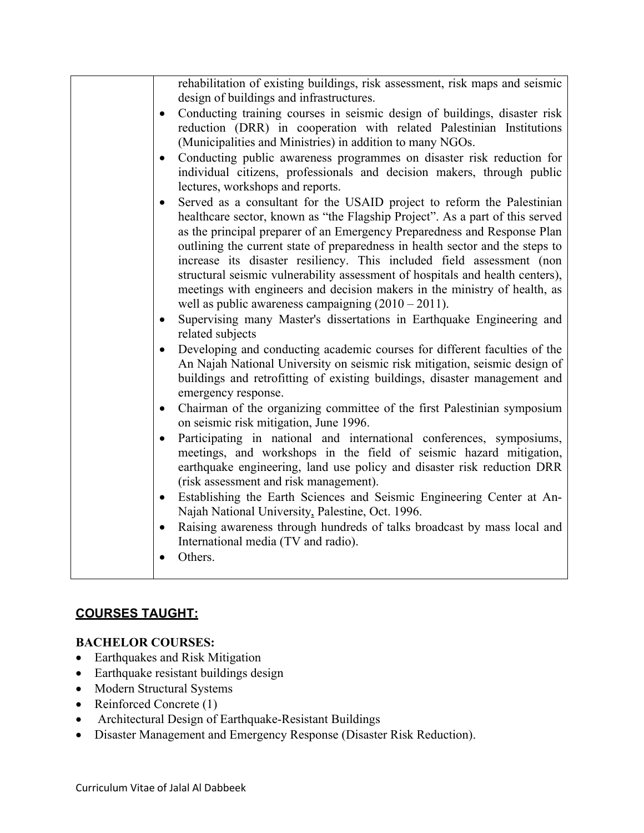| rehabilitation of existing buildings, risk assessment, risk maps and seismic                                                                                                                                                                                                                                                                                                                                                                                                                                                                                                                                                                                                                                                                                                                                             |
|--------------------------------------------------------------------------------------------------------------------------------------------------------------------------------------------------------------------------------------------------------------------------------------------------------------------------------------------------------------------------------------------------------------------------------------------------------------------------------------------------------------------------------------------------------------------------------------------------------------------------------------------------------------------------------------------------------------------------------------------------------------------------------------------------------------------------|
| design of buildings and infrastructures.                                                                                                                                                                                                                                                                                                                                                                                                                                                                                                                                                                                                                                                                                                                                                                                 |
| Conducting training courses in seismic design of buildings, disaster risk<br>$\bullet$<br>reduction (DRR) in cooperation with related Palestinian Institutions<br>(Municipalities and Ministries) in addition to many NGOs.<br>Conducting public awareness programmes on disaster risk reduction for<br>$\bullet$                                                                                                                                                                                                                                                                                                                                                                                                                                                                                                        |
| individual citizens, professionals and decision makers, through public<br>lectures, workshops and reports.                                                                                                                                                                                                                                                                                                                                                                                                                                                                                                                                                                                                                                                                                                               |
| Served as a consultant for the USAID project to reform the Palestinian<br>$\bullet$<br>healthcare sector, known as "the Flagship Project". As a part of this served<br>as the principal preparer of an Emergency Preparedness and Response Plan<br>outlining the current state of preparedness in health sector and the steps to<br>increase its disaster resiliency. This included field assessment (non<br>structural seismic vulnerability assessment of hospitals and health centers),<br>meetings with engineers and decision makers in the ministry of health, as<br>well as public awareness campaigning $(2010 – 2011)$ .<br>Supervising many Master's dissertations in Earthquake Engineering and<br>$\bullet$<br>related subjects<br>Developing and conducting academic courses for different faculties of the |
| An Najah National University on seismic risk mitigation, seismic design of<br>buildings and retrofitting of existing buildings, disaster management and<br>emergency response.                                                                                                                                                                                                                                                                                                                                                                                                                                                                                                                                                                                                                                           |
| Chairman of the organizing committee of the first Palestinian symposium<br>$\bullet$<br>on seismic risk mitigation, June 1996.                                                                                                                                                                                                                                                                                                                                                                                                                                                                                                                                                                                                                                                                                           |
| Participating in national and international conferences, symposiums,<br>$\bullet$<br>meetings, and workshops in the field of seismic hazard mitigation,<br>earthquake engineering, land use policy and disaster risk reduction DRR<br>(risk assessment and risk management).<br>Establishing the Earth Sciences and Seismic Engineering Center at An-<br>$\bullet$                                                                                                                                                                                                                                                                                                                                                                                                                                                       |
| Najah National University, Palestine, Oct. 1996.                                                                                                                                                                                                                                                                                                                                                                                                                                                                                                                                                                                                                                                                                                                                                                         |
| Raising awareness through hundreds of talks broadcast by mass local and<br>$\bullet$<br>International media (TV and radio).<br>Others.<br>$\bullet$                                                                                                                                                                                                                                                                                                                                                                                                                                                                                                                                                                                                                                                                      |
|                                                                                                                                                                                                                                                                                                                                                                                                                                                                                                                                                                                                                                                                                                                                                                                                                          |

### **COURSES TAUGHT:**

### **BACHELOR COURSES:**

- Earthquakes and Risk Mitigation
- Earthquake resistant buildings design
- Modern Structural Systems
- Reinforced Concrete (1)
- Architectural Design of Earthquake-Resistant Buildings
- Disaster Management and Emergency Response (Disaster Risk Reduction).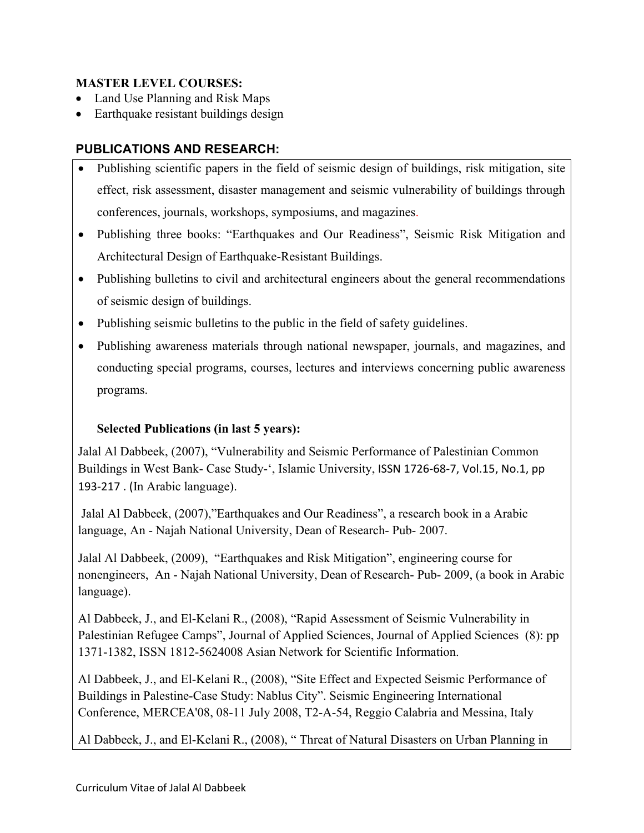#### **MASTER LEVEL COURSES:**

- Land Use Planning and Risk Maps
- Earthquake resistant buildings design

## **PUBLICATIONS AND RESEARCH:**

- Publishing scientific papers in the field of seismic design of buildings, risk mitigation, site effect, risk assessment, disaster management and seismic vulnerability of buildings through conferences, journals, workshops, symposiums, and magazines.
- Publishing three books: "Earthquakes and Our Readiness", Seismic Risk Mitigation and Architectural Design of Earthquake-Resistant Buildings.
- Publishing bulletins to civil and architectural engineers about the general recommendations of seismic design of buildings.
- Publishing seismic bulletins to the public in the field of safety guidelines.
- Publishing awareness materials through national newspaper, journals, and magazines, and conducting special programs, courses, lectures and interviews concerning public awareness programs.

### **Selected Publications (in last 5 years):**

Jalal Al Dabbeek, (2007), "Vulnerability and Seismic Performance of Palestinian Common Buildings in West Bank- Case Study-', Islamic University, ISSN 1726-68-7, Vol.15, No.1, pp 193-217 . (In Arabic language).

Jalal Al Dabbeek, (2007),"Earthquakes and Our Readiness", a research book in a Arabic language, An - Najah National University, Dean of Research- Pub- 2007.

Jalal Al Dabbeek, (2009), "Earthquakes and Risk Mitigation", engineering course for nonengineers, An - Najah National University, Dean of Research- Pub- 2009, (a book in Arabic language).

Al Dabbeek, J., and El-Kelani R., (2008), "Rapid Assessment of Seismic Vulnerability in Palestinian Refugee Camps", Journal of Applied Sciences, Journal of Applied Sciences (8): pp 1371-1382, ISSN 1812-5624008 Asian Network for Scientific Information.

Al Dabbeek, J., and El-Kelani R., (2008), "Site Effect and Expected Seismic Performance of Buildings in Palestine-Case Study: Nablus City". Seismic Engineering International Conference, MERCEA'08, 08-11 July 2008, T2-A-54, Reggio Calabria and Messina, Italy

Al Dabbeek, J., and El-Kelani R., (2008), " Threat of Natural Disasters on Urban Planning in